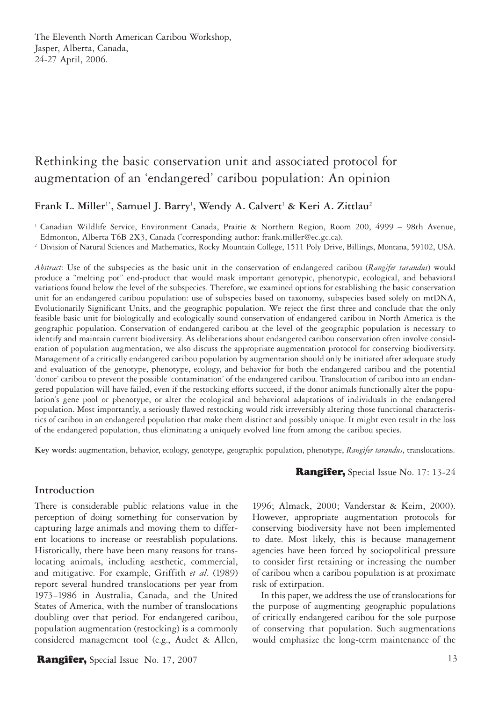The Eleventh North American Caribou Workshop, Jasper, Alberta, Canada, 24-27 April, 2006.

# Rethinking the basic conservation unit and associated protocol for augmentation of an 'endangered' caribou population: An opinion

## Frank L. Miller<sup>1\*</sup>, Samuel J. Barry<sup>1</sup>, Wendy A. Calvert<sup>1</sup> & Keri A. Zittlau<sup>2</sup>

1 Canadian Wildlife Service, Environment Canada, Prairie & Northern Region, Room 200, 4999 – 98th Avenue, Edmonton, Alberta T6B 2X3, Canada (\* corresponding author: frank.miller@ec.gc.ca).

<sup>2</sup> Division of Natural Sciences and Mathematics, Rocky Mountain College, 1511 Poly Drive, Billings, Montana, 59102, USA.

*Abstract:* Use of the subspecies as the basic unit in the conservation of endangered caribou (*Rangifer tarandus*) would produce a "melting pot" end-product that would mask important genotypic, phenotypic, ecological, and behavioral variations found below the level of the subspecies. Therefore, we examined options for establishing the basic conservation unit for an endangered caribou population: use of subspecies based on taxonomy, subspecies based solely on mtDNA, Evolutionarily Significant Units, and the geographic population. We reject the first three and conclude that the only feasible basic unit for biologically and ecologically sound conservation of endangered caribou in North America is the geographic population. Conservation of endangered caribou at the level of the geographic population is necessary to identify and maintain current biodiversity. As deliberations about endangered caribou conservation often involve consideration of population augmentation, we also discuss the appropriate augmentation protocol for conserving biodiversity. Management of a critically endangered caribou population by augmentation should only be initiated after adequate study and evaluation of the genotype, phenotype, ecology, and behavior for both the endangered caribou and the potential 'donor' caribou to prevent the possible 'contamination' of the endangered caribou. Translocation of caribou into an endangered population will have failed, even if the restocking efforts succeed, if the donor animals functionally alter the population's gene pool or phenotype, or alter the ecological and behavioral adaptations of individuals in the endangered population. Most importantly, a seriously flawed restocking would risk irreversibly altering those functional characteristics of caribou in an endangered population that make them distinct and possibly unique. It might even result in the loss of the endangered population, thus eliminating a uniquely evolved line from among the caribou species.

**Key words:** augmentation, behavior, ecology, genotype, geographic population, phenotype, *Rangifer tarandus*, translocations.

#### **Introduction**

There is considerable public relations value in the perception of doing something for conservation by capturing large animals and moving them to different locations to increase or reestablish populations. Historically, there have been many reasons for translocating animals, including aesthetic, commercial, and mitigative. For example, Griffith *et al*. (1989) report several hundred translocations per year from 1973−1986 in Australia, Canada, and the United States of America, with the number of translocations doubling over that period. For endangered caribou, population augmentation (restocking) is a commonly considered management tool (e.g., Audet & Allen,

**Rangifer,** Special Issue No. 17, 2007 13

Rangifer, Special Issue No. 17: 13-24

1996; Almack, 2000; Vanderstar & Keim, 2000). However, appropriate augmentation protocols for conserving biodiversity have not been implemented to date. Most likely, this is because management agencies have been forced by sociopolitical pressure to consider first retaining or increasing the number of caribou when a caribou population is at proximate risk of extirpation.

In this paper, we address the use of translocations for the purpose of augmenting geographic populations of critically endangered caribou for the sole purpose of conserving that population. Such augmentations would emphasize the long-term maintenance of the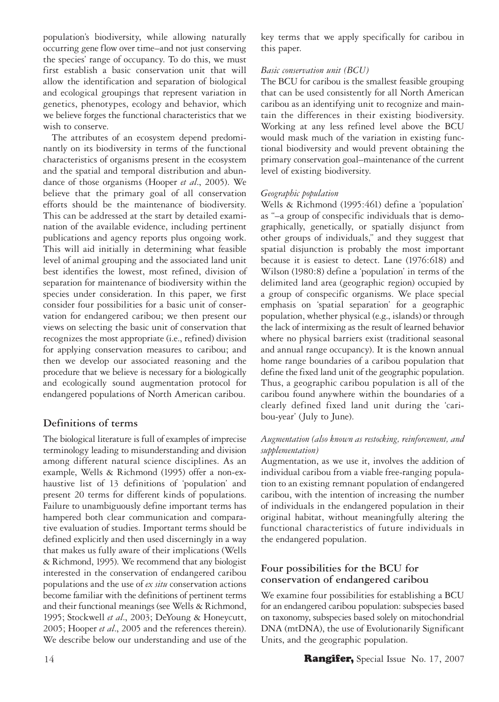population's biodiversity, while allowing naturally occurring gene flow over time–and not just conserving the species' range of occupancy. To do this, we must first establish a basic conservation unit that will allow the identification and separation of biological and ecological groupings that represent variation in genetics, phenotypes, ecology and behavior, which we believe forges the functional characteristics that we wish to conserve.

The attributes of an ecosystem depend predominantly on its biodiversity in terms of the functional characteristics of organisms present in the ecosystem and the spatial and temporal distribution and abundance of those organisms (Hooper *et al*., 2005). We believe that the primary goal of all conservation efforts should be the maintenance of biodiversity. This can be addressed at the start by detailed examination of the available evidence, including pertinent publications and agency reports plus ongoing work. This will aid initially in determining what feasible level of animal grouping and the associated land unit best identifies the lowest, most refined, division of separation for maintenance of biodiversity within the species under consideration. In this paper, we first consider four possibilities for a basic unit of conservation for endangered caribou; we then present our views on selecting the basic unit of conservation that recognizes the most appropriate (i.e., refined) division for applying conservation measures to caribou; and then we develop our associated reasoning and the procedure that we believe is necessary for a biologically and ecologically sound augmentation protocol for endangered populations of North American caribou.

# **Definitions of terms**

The biological literature is full of examples of imprecise terminology leading to misunderstanding and division among different natural science disciplines. As an example, Wells & Richmond (1995) offer a non-exhaustive list of 13 definitions of 'population' and present 20 terms for different kinds of populations. Failure to unambiguously define important terms has hampered both clear communication and comparative evaluation of studies. Important terms should be defined explicitly and then used discerningly in a way that makes us fully aware of their implications (Wells & Richmond, 1995). We recommend that any biologist interested in the conservation of endangered caribou populations and the use of *ex situ* conservation actions become familiar with the definitions of pertinent terms and their functional meanings (see Wells & Richmond, 1995; Stockwell *et al*., 2003; DeYoung & Honeycutt, 2005; Hooper *et al*., 2005 and the references therein). We describe below our understanding and use of the

key terms that we apply specifically for caribou in this paper.

#### *Basic conservation unit (BCU)*

The BCU for caribou is the smallest feasible grouping that can be used consistently for all North American caribou as an identifying unit to recognize and maintain the differences in their existing biodiversity. Working at any less refined level above the BCU would mask much of the variation in existing functional biodiversity and would prevent obtaining the primary conservation goal–maintenance of the current level of existing biodiversity.

#### *Geographic population*

Wells & Richmond (1995:461) define a 'population' as "–a group of conspecific individuals that is demographically, genetically, or spatially disjunct from other groups of individuals," and they suggest that spatial disjunction is probably the most important because it is easiest to detect. Lane (1976:618) and Wilson (1980:8) define a 'population' in terms of the delimited land area (geographic region) occupied by a group of conspecific organisms. We place special emphasis on 'spatial separation' for a geographic population, whether physical (e.g., islands) or through the lack of intermixing as the result of learned behavior where no physical barriers exist (traditional seasonal and annual range occupancy). It is the known annual home range boundaries of a caribou population that define the fixed land unit of the geographic population. Thus, a geographic caribou population is all of the caribou found anywhere within the boundaries of a clearly defined fixed land unit during the 'caribou-year' (July to June).

#### *Augmentation (also known as restocking, reinforcement, and supplementation)*

Augmentation, as we use it, involves the addition of individual caribou from a viable free-ranging population to an existing remnant population of endangered caribou, with the intention of increasing the number of individuals in the endangered population in their original habitat, without meaningfully altering the functional characteristics of future individuals in the endangered population.

## **Four possibilities for the BCU for conservation of endangered caribou**

We examine four possibilities for establishing a BCU for an endangered caribou population: subspecies based on taxonomy, subspecies based solely on mitochondrial DNA (mtDNA), the use of Evolutionarily Significant Units, and the geographic population.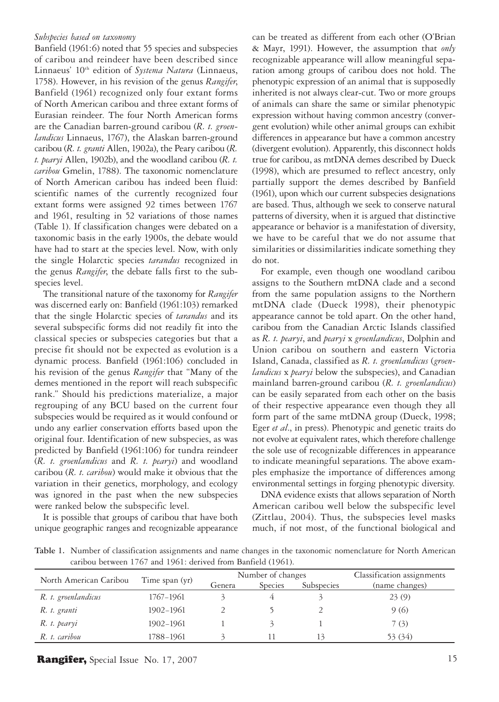#### *Subspecies based on taxonomy*

Banfield (1961:6) noted that 55 species and subspecies of caribou and reindeer have been described since Linnaeus' 10<sup>th</sup> edition of *Systema Natura* (Linnaeus, 1758). However, in his revision of the genus *Rangifer*, Banfield (1961) recognized only four extant forms of North American caribou and three extant forms of Eurasian reindeer. The four North American forms are the Canadian barren-ground caribou (*R. t. groenlandicus* Linnaeus, 1767), the Alaskan barren-ground caribou (*R. t. granti* Allen, 1902a), the Peary caribou (*R. t. pearyi* Allen, 1902b), and the woodland caribou (*R. t. caribou* Gmelin, 1788). The taxonomic nomenclature of North American caribou has indeed been fluid: scientific names of the currently recognized four extant forms were assigned 92 times between 1767 and 1961, resulting in 52 variations of those names (Table 1). If classification changes were debated on a taxonomic basis in the early 1900s, the debate would have had to start at the species level. Now, with only the single Holarctic species *tarandus* recognized in the genus *Rangifer*, the debate falls first to the subspecies level.

The transitional nature of the taxonomy for *Rangifer* was discerned early on: Banfield (1961:103) remarked that the single Holarctic species of *tarandus* and its several subspecific forms did not readily fit into the classical species or subspecies categories but that a precise fit should not be expected as evolution is a dynamic process. Banfield (1961:106) concluded in his revision of the genus *Rangifer* that "Many of the demes mentioned in the report will reach subspecific rank." Should his predictions materialize, a major regrouping of any BCU based on the current four subspecies would be required as it would confound or undo any earlier conservation efforts based upon the original four. Identification of new subspecies, as was predicted by Banfield (1961:106) for tundra reindeer (*R. t. groenlandicus* and *R. t. pearyi*) and woodland caribou (*R. t. caribou*) would make it obvious that the variation in their genetics, morphology, and ecology was ignored in the past when the new subspecies were ranked below the subspecific level.

It is possible that groups of caribou that have both unique geographic ranges and recognizable appearance can be treated as different from each other (O'Brian & Mayr, 1991). However, the assumption that *only* recognizable appearance will allow meaningful separation among groups of caribou does not hold. The phenotypic expression of an animal that is supposedly inherited is not always clear-cut. Two or more groups of animals can share the same or similar phenotypic expression without having common ancestry (convergent evolution) while other animal groups can exhibit differences in appearance but have a common ancestry (divergent evolution). Apparently, this disconnect holds true for caribou, as mtDNA demes described by Dueck (1998), which are presumed to reflect ancestry, only partially support the demes described by Banfield (1961), upon which our current subspecies designations are based. Thus, although we seek to conserve natural patterns of diversity, when it is argued that distinctive appearance or behavior is a manifestation of diversity, we have to be careful that we do not assume that similarities or dissimilarities indicate something they do not.

For example, even though one woodland caribou assigns to the Southern mtDNA clade and a second from the same population assigns to the Northern mtDNA clade (Dueck 1998), their phenotypic appearance cannot be told apart. On the other hand, caribou from the Canadian Arctic Islands classified as *R. t. pearyi*, and *pearyi* x *groenlandicus*, Dolphin and Union caribou on southern and eastern Victoria Island, Canada, classified as *R. t. groenlandicus* (*groenlandicus* x *pearyi* below the subspecies), and Canadian mainland barren-ground caribou (*R. t. groenlandicus*) can be easily separated from each other on the basis of their respective appearance even though they all form part of the same mtDNA group (Dueck, 1998; Eger *et al*., in press). Phenotypic and genetic traits do not evolve at equivalent rates, which therefore challenge the sole use of recognizable differences in appearance to indicate meaningful separations. The above examples emphasize the importance of differences among environmental settings in forging phenotypic diversity.

DNA evidence exists that allows separation of North American caribou well below the subspecific level (Zittlau, 2004). Thus, the subspecies level masks much, if not most, of the functional biological and

**Table 1.** Number of classification assignments and name changes in the taxonomic nomenclature for North American caribou between 1767 and 1961: derived from Banfield (1961).

| North American Caribou | Time span (yr) | Number of changes |                |            | Classification assignments |
|------------------------|----------------|-------------------|----------------|------------|----------------------------|
|                        |                | Genera            | <b>Species</b> | Subspecies | (name changes)             |
| R. t. groenlandicus    | 1767-1961      |                   |                |            | 23(9)                      |
| R. t. granti           | 1902-1961      |                   |                |            | 9(6)                       |
| R. t. pearyi           | 1902-1961      |                   |                |            | 7(3)                       |
| R. t. caribou          | 1788-1961      |                   |                | 13         | 53 (34)                    |

**Rangifer,** Special Issue No. 17, 2007 15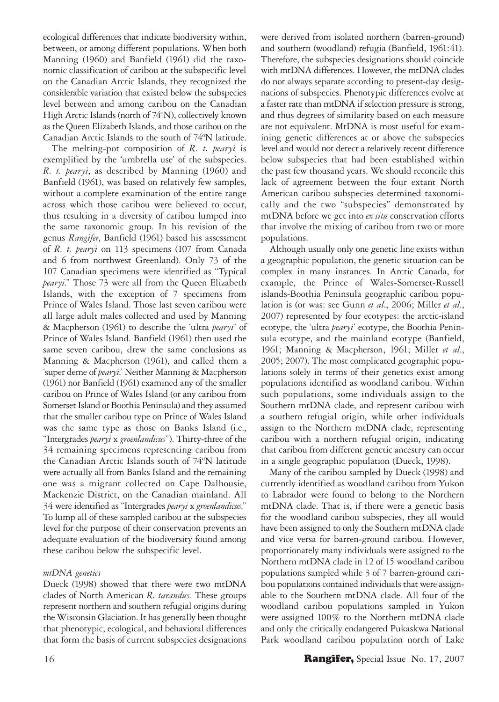ecological differences that indicate biodiversity within, between, or among different populations. When both Manning (1960) and Banfield (1961) did the taxonomic classification of caribou at the subspecific level on the Canadian Arctic Islands, they recognized the considerable variation that existed below the subspecies level between and among caribou on the Canadian High Arctic Islands (north of 74ºN), collectively known as the Queen Elizabeth Islands, and those caribou on the Canadian Arctic Islands to the south of 74ºN latitude.

The melting-pot composition of *R. t. pearyi* is exemplified by the 'umbrella use' of the subspecies. *R. t. pearyi*, as described by Manning (1960) and Banfield (1961), was based on relatively few samples, without a complete examination of the entire range across which those caribou were believed to occur, thus resulting in a diversity of caribou lumped into the same taxonomic group. In his revision of the genus *Rangifer*, Banfield (1961) based his assessment of *R. t. pearyi* on 113 specimens (107 from Canada and 6 from northwest Greenland). Only 73 of the 107 Canadian specimens were identified as "Typical *pearyi*." Those 73 were all from the Queen Elizabeth Islands, with the exception of 7 specimens from Prince of Wales Island. Those last seven caribou were all large adult males collected and used by Manning & Macpherson (1961) to describe the 'ultra *pearyi*' of Prince of Wales Island. Banfield (1961) then used the same seven caribou, drew the same conclusions as Manning & Macpherson (1961), and called them a 'super deme of *pearyi*.' Neither Manning & Macpherson (1961) nor Banfield (1961) examined any of the smaller caribou on Prince of Wales Island (or any caribou from Somerset Island or Boothia Peninsula) and they assumed that the smaller caribou type on Prince of Wales Island was the same type as those on Banks Island (i.e., "Intergrades *pearyi* x *groenlandicus*"). Thirty-three of the 34 remaining specimens representing caribou from the Canadian Arctic Islands south of 74ºN latitude were actually all from Banks Island and the remaining one was a migrant collected on Cape Dalhousie, Mackenzie District, on the Canadian mainland. All 34 were identified as "Intergrades *pearyi* x *groenlandicus*." To lump all of these sampled caribou at the subspecies level for the purpose of their conservation prevents an adequate evaluation of the biodiversity found among these caribou below the subspecific level.

#### *mtDNA genetics*

Dueck (1998) showed that there were two mtDNA clades of North American *R. tarandus.* These groups represent northern and southern refugial origins during the Wisconsin Glaciation. It has generally been thought that phenotypic, ecological, and behavioral differences that form the basis of current subspecies designations were derived from isolated northern (barren-ground) and southern (woodland) refugia (Banfield, 1961:41). Therefore, the subspecies designations should coincide with mtDNA differences. However, the mtDNA clades do not always separate according to present-day designations of subspecies. Phenotypic differences evolve at a faster rate than mtDNA if selection pressure is strong, and thus degrees of similarity based on each measure are not equivalent. MtDNA is most useful for examining genetic differences at or above the subspecies level and would not detect a relatively recent difference below subspecies that had been established within the past few thousand years. We should reconcile this lack of agreement between the four extant North American caribou subspecies determined taxonomically and the two "subspecies" demonstrated by mtDNA before we get into *ex situ* conservation efforts that involve the mixing of caribou from two or more populations.

Although usually only one genetic line exists within a geographic population, the genetic situation can be complex in many instances. In Arctic Canada, for example, the Prince of Wales-Somerset-Russell islands-Boothia Peninsula geographic caribou population is (or was: see Gunn *et al*., 2006; Miller *et al*., 2007) represented by four ecotypes: the arctic-island ecotype, the 'ultra *pearyi*' ecotype, the Boothia Peninsula ecotype, and the mainland ecotype (Banfield, 1961; Manning & Macpherson, 1961; Miller *et al*., 2005; 2007). The most complicated geographic populations solely in terms of their genetics exist among populations identified as woodland caribou. Within such populations, some individuals assign to the Southern mtDNA clade, and represent caribou with a southern refugial origin, while other individuals assign to the Northern mtDNA clade, representing caribou with a northern refugial origin, indicating that caribou from different genetic ancestry can occur in a single geographic population (Dueck, 1998).

Many of the caribou sampled by Dueck (1998) and currently identified as woodland caribou from Yukon to Labrador were found to belong to the Northern mtDNA clade. That is, if there were a genetic basis for the woodland caribou subspecies, they all would have been assigned to only the Southern mtDNA clade and vice versa for barren-ground caribou. However, proportionately many individuals were assigned to the Northern mtDNA clade in 12 of 15 woodland caribou populations sampled while 3 of 7 barren-ground caribou populations contained individuals that were assignable to the Southern mtDNA clade. All four of the woodland caribou populations sampled in Yukon were assigned 100% to the Northern mtDNA clade and only the critically endangered Pukaskwa National Park woodland caribou population north of Lake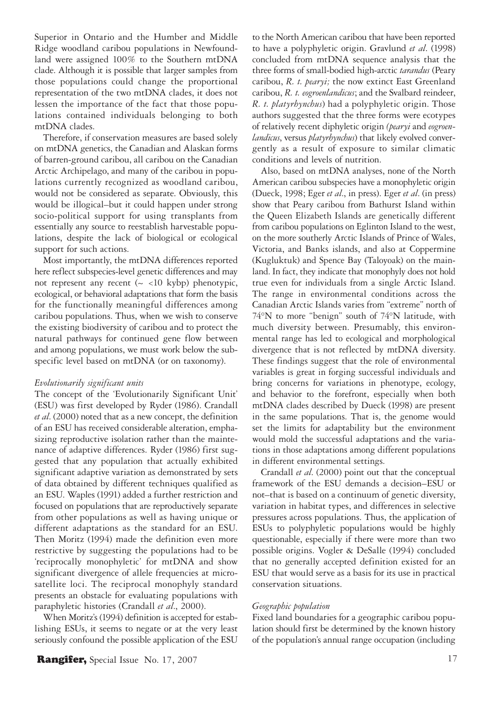Superior in Ontario and the Humber and Middle Ridge woodland caribou populations in Newfoundland were assigned 100% to the Southern mtDNA clade. Although it is possible that larger samples from those populations could change the proportional representation of the two mtDNA clades, it does not lessen the importance of the fact that those populations contained individuals belonging to both mtDNA clades.

Therefore, if conservation measures are based solely on mtDNA genetics, the Canadian and Alaskan forms of barren-ground caribou, all caribou on the Canadian Arctic Archipelago, and many of the caribou in populations currently recognized as woodland caribou, would not be considered as separate. Obviously, this would be illogical–but it could happen under strong socio-political support for using transplants from essentially any source to reestablish harvestable populations, despite the lack of biological or ecological support for such actions.

Most importantly, the mtDNA differences reported here reflect subspecies-level genetic differences and may not represent any recent  $(\sim$  <10 kybp) phenotypic, ecological, or behavioral adaptations that form the basis for the functionally meaningful differences among caribou populations. Thus, when we wish to conserve the existing biodiversity of caribou and to protect the natural pathways for continued gene flow between and among populations, we must work below the subspecific level based on mtDNA (or on taxonomy).

#### *Evolutionarily significant units*

The concept of the 'Evolutionarily Significant Unit' (ESU) was first developed by Ryder (1986). Crandall *et al*. (2000) noted that as a new concept, the definition of an ESU has received considerable alteration, emphasizing reproductive isolation rather than the maintenance of adaptive differences. Ryder (1986) first suggested that any population that actually exhibited significant adaptive variation as demonstrated by sets of data obtained by different techniques qualified as an ESU. Waples (1991) added a further restriction and focused on populations that are reproductively separate from other populations as well as having unique or different adaptations as the standard for an ESU. Then Moritz (1994) made the definition even more restrictive by suggesting the populations had to be 'reciprocally monophyletic' for mtDNA and show significant divergence of allele frequencies at microsatellite loci. The reciprocal monophyly standard presents an obstacle for evaluating populations with paraphyletic histories (Crandall *et al*., 2000).

When Moritz's (1994) definition is accepted for establishing ESUs, it seems to negate or at the very least seriously confound the possible application of the ESU to the North American caribou that have been reported to have a polyphyletic origin. Gravlund *et al*. (1998) concluded from mtDNA sequence analysis that the three forms of small-bodied high-arctic *tarandus* (Peary caribou, *R. t. pearyi;* the now extinct East Greenland caribou, *R. t. eogroenlandicus*; and the Svalbard reindeer, *R. t. platyrhynchus*) had a polyphyletic origin. Those authors suggested that the three forms were ecotypes of relatively recent diphyletic origin *(pearyi* and *eogroenlandicus*, versus *platyrhynchus*) that likely evolved convergently as a result of exposure to similar climatic conditions and levels of nutrition.

Also, based on mtDNA analyses, none of the North American caribou subspecies have a monophyletic origin (Dueck, 1998; Eger *et al*., in press). Eger *et al*. (in press) show that Peary caribou from Bathurst Island within the Queen Elizabeth Islands are genetically different from caribou populations on Eglinton Island to the west, on the more southerly Arctic Islands of Prince of Wales, Victoria, and Banks islands, and also at Coppermine (Kugluktuk) and Spence Bay (Taloyoak) on the mainland. In fact, they indicate that monophyly does not hold true even for individuals from a single Arctic Island. The range in environmental conditions across the Canadian Arctic Islands varies from "extreme" north of 74°N to more "benign" south of 74°N latitude, with much diversity between. Presumably, this environmental range has led to ecological and morphological divergence that is not reflected by mtDNA diversity. These findings suggest that the role of environmental variables is great in forging successful individuals and bring concerns for variations in phenotype, ecology, and behavior to the forefront, especially when both mtDNA clades described by Dueck (1998) are present in the same populations. That is, the genome would set the limits for adaptability but the environment would mold the successful adaptations and the variations in those adaptations among different populations in different environmental settings.

Crandall *et al*. (2000) point out that the conceptual framework of the ESU demands a decision–ESU or not–that is based on a continuum of genetic diversity, variation in habitat types, and differences in selective pressures across populations. Thus, the application of ESUs to polyphyletic populations would be highly questionable, especially if there were more than two possible origins. Vogler & DeSalle (1994) concluded that no generally accepted definition existed for an ESU that would serve as a basis for its use in practical conservation situations.

#### *Geographic population*

Fixed land boundaries for a geographic caribou population should first be determined by the known history of the population's annual range occupation (including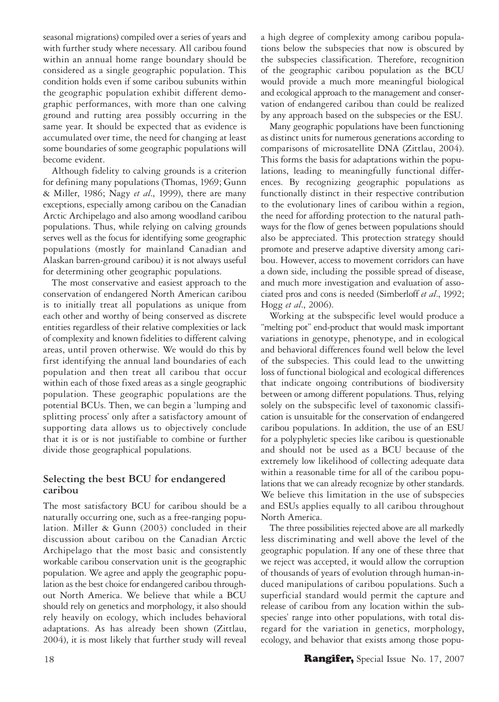seasonal migrations) compiled over a series of years and with further study where necessary. All caribou found within an annual home range boundary should be considered as a single geographic population. This condition holds even if some caribou subunits within the geographic population exhibit different demographic performances, with more than one calving ground and rutting area possibly occurring in the same year. It should be expected that as evidence is accumulated over time, the need for changing at least some boundaries of some geographic populations will become evident.

Although fidelity to calving grounds is a criterion for defining many populations (Thomas, 1969; Gunn & Miller, 1986; Nagy *et al*., 1999), there are many exceptions, especially among caribou on the Canadian Arctic Archipelago and also among woodland caribou populations. Thus, while relying on calving grounds serves well as the focus for identifying some geographic populations (mostly for mainland Canadian and Alaskan barren-ground caribou) it is not always useful for determining other geographic populations.

The most conservative and easiest approach to the conservation of endangered North American caribou is to initially treat all populations as unique from each other and worthy of being conserved as discrete entities regardless of their relative complexities or lack of complexity and known fidelities to different calving areas, until proven otherwise. We would do this by first identifying the annual land boundaries of each population and then treat all caribou that occur within each of those fixed areas as a single geographic population. These geographic populations are the potential BCUs. Then, we can begin a 'lumping and splitting process' only after a satisfactory amount of supporting data allows us to objectively conclude that it is or is not justifiable to combine or further divide those geographical populations.

## **Selecting the best BCU for endangered caribou**

The most satisfactory BCU for caribou should be a naturally occurring one, such as a free-ranging population. Miller & Gunn (2003) concluded in their discussion about caribou on the Canadian Arctic Archipelago that the most basic and consistently workable caribou conservation unit is the geographic population. We agree and apply the geographic population as the best choice for endangered caribou throughout North America. We believe that while a BCU should rely on genetics and morphology, it also should rely heavily on ecology, which includes behavioral adaptations. As has already been shown (Zittlau, 2004), it is most likely that further study will reveal

a high degree of complexity among caribou populations below the subspecies that now is obscured by the subspecies classification. Therefore, recognition of the geographic caribou population as the BCU would provide a much more meaningful biological and ecological approach to the management and conservation of endangered caribou than could be realized by any approach based on the subspecies or the ESU.

Many geographic populations have been functioning as distinct units for numerous generations according to comparisons of microsatellite DNA (Zittlau, 2004). This forms the basis for adaptations within the populations, leading to meaningfully functional differences. By recognizing geographic populations as functionally distinct in their respective contribution to the evolutionary lines of caribou within a region, the need for affording protection to the natural pathways for the flow of genes between populations should also be appreciated. This protection strategy should promote and preserve adaptive diversity among caribou. However, access to movement corridors can have a down side, including the possible spread of disease, and much more investigation and evaluation of associated pros and cons is needed (Simberloff *et al*., 1992; Hogg *et al*., 2006).

Working at the subspecific level would produce a "melting pot" end-product that would mask important variations in genotype, phenotype, and in ecological and behavioral differences found well below the level of the subspecies. This could lead to the unwitting loss of functional biological and ecological differences that indicate ongoing contributions of biodiversity between or among different populations. Thus, relying solely on the subspecific level of taxonomic classification is unsuitable for the conservation of endangered caribou populations. In addition, the use of an ESU for a polyphyletic species like caribou is questionable and should not be used as a BCU because of the extremely low likelihood of collecting adequate data within a reasonable time for all of the caribou populations that we can already recognize by other standards. We believe this limitation in the use of subspecies and ESUs applies equally to all caribou throughout North America.

The three possibilities rejected above are all markedly less discriminating and well above the level of the geographic population. If any one of these three that we reject was accepted, it would allow the corruption of thousands of years of evolution through human-induced manipulations of caribou populations. Such a superficial standard would permit the capture and release of caribou from any location within the subspecies' range into other populations, with total disregard for the variation in genetics, morphology, ecology, and behavior that exists among those popu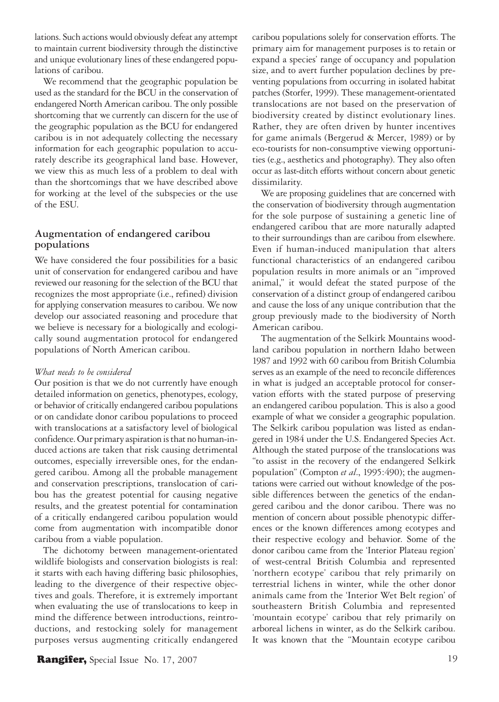lations. Such actions would obviously defeat any attempt to maintain current biodiversity through the distinctive and unique evolutionary lines of these endangered populations of caribou.

We recommend that the geographic population be used as the standard for the BCU in the conservation of endangered North American caribou. The only possible shortcoming that we currently can discern for the use of the geographic population as the BCU for endangered caribou is in not adequately collecting the necessary information for each geographic population to accurately describe its geographical land base. However, we view this as much less of a problem to deal with than the shortcomings that we have described above for working at the level of the subspecies or the use of the ESU.

## **Augmentation of endangered caribou populations**

We have considered the four possibilities for a basic unit of conservation for endangered caribou and have reviewed our reasoning for the selection of the BCU that recognizes the most appropriate (i.e., refined) division for applying conservation measures to caribou. We now develop our associated reasoning and procedure that we believe is necessary for a biologically and ecologically sound augmentation protocol for endangered populations of North American caribou.

#### *What needs to be considered*

Our position is that we do not currently have enough detailed information on genetics, phenotypes, ecology, or behavior of critically endangered caribou populations or on candidate donor caribou populations to proceed with translocations at a satisfactory level of biological confidence. Our primary aspiration is that no human-induced actions are taken that risk causing detrimental outcomes, especially irreversible ones, for the endangered caribou. Among all the probable management and conservation prescriptions, translocation of caribou has the greatest potential for causing negative results, and the greatest potential for contamination of a critically endangered caribou population would come from augmentation with incompatible donor caribou from a viable population.

The dichotomy between management-orientated wildlife biologists and conservation biologists is real: it starts with each having differing basic philosophies, leading to the divergence of their respective objectives and goals. Therefore, it is extremely important when evaluating the use of translocations to keep in mind the difference between introductions, reintroductions, and restocking solely for management purposes versus augmenting critically endangered caribou populations solely for conservation efforts. The primary aim for management purposes is to retain or expand a species' range of occupancy and population size, and to avert further population declines by preventing populations from occurring in isolated habitat patches (Storfer, 1999). These management-orientated translocations are not based on the preservation of biodiversity created by distinct evolutionary lines. Rather, they are often driven by hunter incentives for game animals (Bergerud & Mercer, 1989) or by eco-tourists for non-consumptive viewing opportunities (e.g., aesthetics and photography). They also often occur as last-ditch efforts without concern about genetic dissimilarity.

We are proposing guidelines that are concerned with the conservation of biodiversity through augmentation for the sole purpose of sustaining a genetic line of endangered caribou that are more naturally adapted to their surroundings than are caribou from elsewhere. Even if human-induced manipulation that alters functional characteristics of an endangered caribou population results in more animals or an "improved animal," it would defeat the stated purpose of the conservation of a distinct group of endangered caribou and cause the loss of any unique contribution that the group previously made to the biodiversity of North American caribou.

The augmentation of the Selkirk Mountains woodland caribou population in northern Idaho between 1987 and 1992 with 60 caribou from British Columbia serves as an example of the need to reconcile differences in what is judged an acceptable protocol for conservation efforts with the stated purpose of preserving an endangered caribou population. This is also a good example of what we consider a geographic population. The Selkirk caribou population was listed as endangered in 1984 under the U.S. Endangered Species Act. Although the stated purpose of the translocations was "to assist in the recovery of the endangered Selkirk population" (Compton *et al*., 1995:490); the augmentations were carried out without knowledge of the possible differences between the genetics of the endangered caribou and the donor caribou. There was no mention of concern about possible phenotypic differences or the known differences among ecotypes and their respective ecology and behavior. Some of the donor caribou came from the 'Interior Plateau region' of west-central British Columbia and represented 'northern ecotype' caribou that rely primarily on terrestrial lichens in winter, while the other donor animals came from the 'Interior Wet Belt region' of southeastern British Columbia and represented 'mountain ecotype' caribou that rely primarily on arboreal lichens in winter, as do the Selkirk caribou. It was known that the "Mountain ecotype caribou

# **Rangifer,** Special Issue No. 17, 2007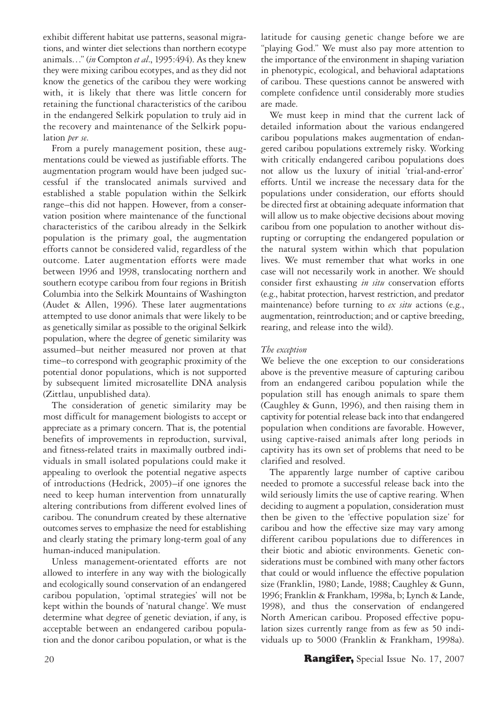exhibit different habitat use patterns, seasonal migrations, and winter diet selections than northern ecotype animals…" (*in* Compton *et al*., 1995:494). As they knew they were mixing caribou ecotypes, and as they did not know the genetics of the caribou they were working with, it is likely that there was little concern for retaining the functional characteristics of the caribou in the endangered Selkirk population to truly aid in the recovery and maintenance of the Selkirk population *per se*.

From a purely management position, these augmentations could be viewed as justifiable efforts. The augmentation program would have been judged successful if the translocated animals survived and established a stable population within the Selkirk range–this did not happen. However, from a conservation position where maintenance of the functional characteristics of the caribou already in the Selkirk population is the primary goal, the augmentation efforts cannot be considered valid, regardless of the outcome. Later augmentation efforts were made between 1996 and 1998, translocating northern and southern ecotype caribou from four regions in British Columbia into the Selkirk Mountains of Washington (Audet & Allen, 1996). These later augmentations attempted to use donor animals that were likely to be as genetically similar as possible to the original Selkirk population, where the degree of genetic similarity was assumed–but neither measured nor proven at that time–to correspond with geographic proximity of the potential donor populations, which is not supported by subsequent limited microsatellite DNA analysis (Zittlau, unpublished data).

The consideration of genetic similarity may be most difficult for management biologists to accept or appreciate as a primary concern. That is, the potential benefits of improvements in reproduction, survival, and fitness-related traits in maximally outbred individuals in small isolated populations could make it appealing to overlook the potential negative aspects of introductions (Hedrick, 2005)–if one ignores the need to keep human intervention from unnaturally altering contributions from different evolved lines of caribou. The conundrum created by these alternative outcomes serves to emphasize the need for establishing and clearly stating the primary long-term goal of any human-induced manipulation.

Unless management-orientated efforts are not allowed to interfere in any way with the biologically and ecologically sound conservation of an endangered caribou population, 'optimal strategies' will not be kept within the bounds of 'natural change'. We must determine what degree of genetic deviation, if any, is acceptable between an endangered caribou population and the donor caribou population, or what is the latitude for causing genetic change before we are "playing God." We must also pay more attention to the importance of the environment in shaping variation in phenotypic, ecological, and behavioral adaptations of caribou. These questions cannot be answered with complete confidence until considerably more studies are made.

We must keep in mind that the current lack of detailed information about the various endangered caribou populations makes augmentation of endangered caribou populations extremely risky. Working with critically endangered caribou populations does not allow us the luxury of initial 'trial-and-error' efforts. Until we increase the necessary data for the populations under consideration, our efforts should be directed first at obtaining adequate information that will allow us to make objective decisions about moving caribou from one population to another without disrupting or corrupting the endangered population or the natural system within which that population lives. We must remember that what works in one case will not necessarily work in another. We should consider first exhausting *in situ* conservation efforts (e.g., habitat protection, harvest restriction, and predator maintenance) before turning to *ex situ* actions (e.g., augmentation, reintroduction; and or captive breeding, rearing, and release into the wild).

#### *The exception*

We believe the one exception to our considerations above is the preventive measure of capturing caribou from an endangered caribou population while the population still has enough animals to spare them (Caughley & Gunn, 1996), and then raising them in captivity for potential release back into that endangered population when conditions are favorable. However, using captive-raised animals after long periods in captivity has its own set of problems that need to be clarified and resolved.

The apparently large number of captive caribou needed to promote a successful release back into the wild seriously limits the use of captive rearing. When deciding to augment a population, consideration must then be given to the 'effective population size' for caribou and how the effective size may vary among different caribou populations due to differences in their biotic and abiotic environments. Genetic considerations must be combined with many other factors that could or would influence the effective population size (Franklin, 1980; Lande, 1988; Caughley & Gunn, 1996; Franklin & Frankham, 1998a, b; Lynch & Lande, 1998), and thus the conservation of endangered North American caribou. Proposed effective population sizes currently range from as few as 50 individuals up to 5000 (Franklin & Frankham, 1998a).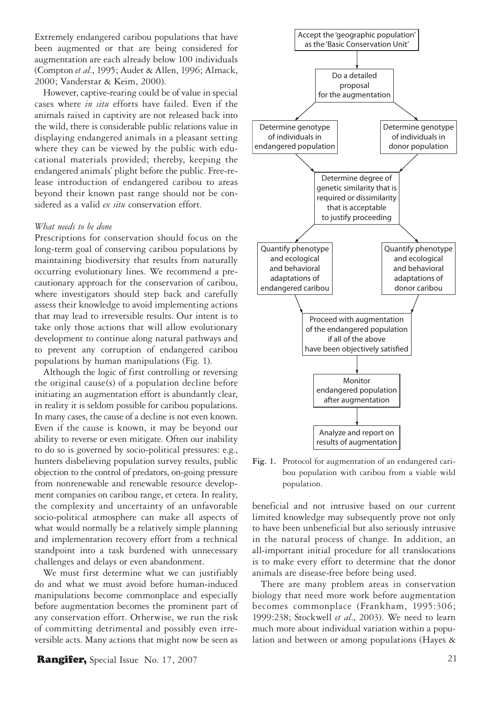Extremely endangered caribou populations that have been augmented or that are being considered for augmentation are each already below 100 individuals (Compton *et al*., 1995; Audet & Allen, 1996; Almack, 2000; Vanderstar & Keim, 2000).

However, captive-rearing could be of value in special cases where *in situ* efforts have failed. Even if the animals raised in captivity are not released back into the wild, there is considerable public relations value in displaying endangered animals in a pleasant setting where they can be viewed by the public with educational materials provided; thereby, keeping the endangered animals' plight before the public. Free-release introduction of endangered caribou to areas beyond their known past range should not be considered as a valid *ex situ* conservation effort.

#### *What needs to be done*

Prescriptions for conservation should focus on the long-term goal of conserving caribou populations by maintaining biodiversity that results from naturally occurring evolutionary lines. We recommend a precautionary approach for the conservation of caribou, where investigators should step back and carefully assess their knowledge to avoid implementing actions that may lead to irreversible results. Our intent is to take only those actions that will allow evolutionary development to continue along natural pathways and to prevent any corruption of endangered caribou populations by human manipulations (Fig. 1).

Although the logic of first controlling or reversing the original cause(s) of a population decline before initiating an augmentation effort is abundantly clear, in reality it is seldom possible for caribou populations. In many cases, the cause of a decline is not even known. Even if the cause is known, it may be beyond our ability to reverse or even mitigate. Often our inability to do so is governed by socio-political pressures: e.g., hunters disbelieving population survey results, public objection to the control of predators, on-going pressure from nonrenewable and renewable resource development companies on caribou range, et cetera. In reality, the complexity and uncertainty of an unfavorable socio-political atmosphere can make all aspects of what would normally be a relatively simple planning and implementation recovery effort from a technical standpoint into a task burdened with unnecessary challenges and delays or even abandonment.

We must first determine what we can justifiably do and what we must avoid before human-induced manipulations become commonplace and especially before augmentation becomes the prominent part of any conservation effort. Otherwise, we run the risk of committing detrimental and possibly even irreversible acts. Many actions that might now be seen as





**Fig. 1.** Protocol for augmentation of an endangered caribou population with caribou from a viable wild population.

beneficial and not intrusive based on our current limited knowledge may subsequently prove not only to have been unbeneficial but also seriously intrusive in the natural process of change. In addition, an all-important initial procedure for all translocations is to make every effort to determine that the donor animals are disease-free before being used.

There are many problem areas in conservation biology that need more work before augmentation becomes commonplace (Frankham, 1995:306; 1999:238; Stockwell *et al*., 2003). We need to learn much more about individual variation within a population and between or among populations (Hayes &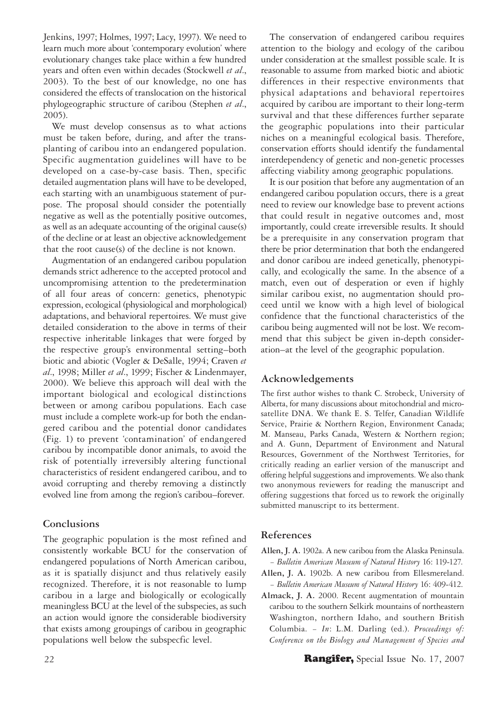Jenkins, 1997; Holmes, 1997; Lacy, 1997). We need to learn much more about 'contemporary evolution' where evolutionary changes take place within a few hundred years and often even within decades (Stockwell *et al*., 2003). To the best of our knowledge, no one has considered the effects of translocation on the historical phylogeographic structure of caribou (Stephen *et al*., 2005).

We must develop consensus as to what actions must be taken before, during, and after the transplanting of caribou into an endangered population. Specific augmentation guidelines will have to be developed on a case-by-case basis. Then, specific detailed augmentation plans will have to be developed, each starting with an unambiguous statement of purpose. The proposal should consider the potentially negative as well as the potentially positive outcomes, as well as an adequate accounting of the original cause(s) of the decline or at least an objective acknowledgement that the root cause(s) of the decline is not known.

Augmentation of an endangered caribou population demands strict adherence to the accepted protocol and uncompromising attention to the predetermination of all four areas of concern: genetics, phenotypic expression, ecological (physiological and morphological) adaptations, and behavioral repertoires. We must give detailed consideration to the above in terms of their respective inheritable linkages that were forged by the respective group's environmental setting–both biotic and abiotic (Vogler & DeSalle, 1994; Craven *et al*., 1998; Miller *et al*., 1999; Fischer & Lindenmayer, 2000). We believe this approach will deal with the important biological and ecological distinctions between or among caribou populations. Each case must include a complete work-up for both the endangered caribou and the potential donor candidates (Fig. 1) to prevent 'contamination' of endangered caribou by incompatible donor animals, to avoid the risk of potentially irreversibly altering functional characteristics of resident endangered caribou, and to avoid corrupting and thereby removing a distinctly evolved line from among the region's caribou–forever.

#### **Conclusions**

The geographic population is the most refined and consistently workable BCU for the conservation of endangered populations of North American caribou, as it is spatially disjunct and thus relatively easily recognized. Therefore, it is not reasonable to lump caribou in a large and biologically or ecologically meaningless BCU at the level of the subspecies, as such an action would ignore the considerable biodiversity that exists among groupings of caribou in geographic populations well below the subspecfic level.

The conservation of endangered caribou requires attention to the biology and ecology of the caribou under consideration at the smallest possible scale. It is reasonable to assume from marked biotic and abiotic differences in their respective environments that physical adaptations and behavioral repertoires acquired by caribou are important to their long-term survival and that these differences further separate the geographic populations into their particular niches on a meaningful ecological basis. Therefore, conservation efforts should identify the fundamental interdependency of genetic and non-genetic processes affecting viability among geographic populations.

It is our position that before any augmentation of an endangered caribou population occurs, there is a great need to review our knowledge base to prevent actions that could result in negative outcomes and, most importantly, could create irreversible results. It should be a prerequisite in any conservation program that there be prior determination that both the endangered and donor caribou are indeed genetically, phenotypically, and ecologically the same. In the absence of a match, even out of desperation or even if highly similar caribou exist, no augmentation should proceed until we know with a high level of biological confidence that the functional characteristics of the caribou being augmented will not be lost. We recommend that this subject be given in-depth consideration–at the level of the geographic population.

# **Acknowledgements**

The first author wishes to thank C. Strobeck, University of Alberta, for many discussions about mitochondrial and microsatellite DNA. We thank E. S. Telfer, Canadian Wildlife Service, Prairie & Northern Region, Environment Canada; M. Manseau, Parks Canada, Western & Northern region; and A. Gunn, Department of Environment and Natural Resources, Government of the Northwest Territories, for critically reading an earlier version of the manuscript and offering helpful suggestions and improvements. We also thank two anonymous reviewers for reading the manuscript and offering suggestions that forced us to rework the originally submitted manuscript to its betterment.

# **References**

- **Allen, J. A.** 1902a. A new caribou from the Alaska Peninsula. − *Bulletin American Museum of Natural History* 16: 119-127.
- **Allen, J. A.** 1902b. A new caribou from Ellesmereland. − *Bulletin American Museum of Natural History* 16: 409-412.
- **Almack, J. A.** 2000. Recent augmentation of mountain caribou to the southern Selkirk mountains of northeastern Washington, northern Idaho, and southern British Columbia. − *In*: L.M. Darling (ed.). *Proceedings of: Conference on the Biology and Management of Species and*

#### **22 Rangifer,** Special Issue No. 17, 2007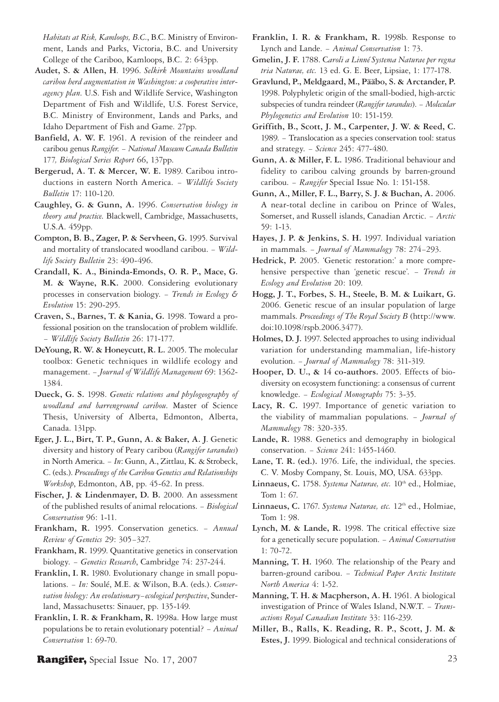*Habitats at Risk, Kamloops, B.C.*, B.C. Ministry of Environment, Lands and Parks, Victoria, B.C. and University College of the Cariboo, Kamloops, B.C. 2: 643pp.

- **Audet, S. & Allen, H**. 1996. *Selkirk Mountains woodland caribou herd augmentation in Washington: a cooperative interagency plan*. U.S. Fish and Wildlife Service, Washington Department of Fish and Wildlife, U.S. Forest Service, B.C. Ministry of Environment, Lands and Parks, and Idaho Department of Fish and Game. 27pp.
- **Banfield, A. W. F.** 1961. A revision of the reindeer and caribou genus *Rangifer*. − *National Museum Canada Bulletin*  177*, Biological Series Report* 66, 137pp.
- **Bergerud, A. T. & Mercer, W. E.** 1989. Caribou introductions in eastern North America. − *Wildlife Society Bulletin* 17: 110-120.
- **Caughley, G. & Gunn, A.** 1996. *Conservation biology in theory and practice*. Blackwell, Cambridge, Massachusetts, U.S.A. 459pp.
- **Compton, B. B., Zager, P. & Servheen, G.** 1995. Survival and mortality of translocated woodland caribou. − *Wildlife Society Bulletin* 23: 490-496.
- **Crandall, K. A., Bininda-Emonds, O. R. P., Mace, G. M. & Wayne, R.K.** 2000. Considering evolutionary processes in conservation biology. − *Trends in Ecology & Evolution* 15: 290-295.
- **Craven, S., Barnes, T. & Kania, G.** 1998. Toward a professional position on the translocation of problem wildlife. − *Wildlife Society Bulletin* 26: 171-177.
- **DeYoung, R. W. & Honeycutt, R. L.** 2005. The molecular toolbox: Genetic techniques in wildlife ecology and management. − *Journal of Wildlife Management* 69: 1362- 1384.
- **Dueck, G. S.** 1998. *Genetic relations and phylogeography of woodland and barrenground caribou*. Master of Science Thesis, University of Alberta, Edmonton, Alberta, Canada. 131pp.
- **Eger, J. L., Birt, T. P., Gunn, A. & Baker, A. J**. Genetic diversity and history of Peary caribou (*Rangifer tarandus*) in North America. − *In*: Gunn, A., Zittlau, K. & Strobeck, C. (eds.). *Proceedings of the Caribou Genetics and Relationships Workshop*, Edmonton, AB, pp. 45-62. In press.
- **Fischer, J. & Lindenmayer, D. B.** 2000. An assessment of the published results of animal relocations. − *Biological Conservation* 96: 1-11.
- **Frankham, R.** 1995. Conservation genetics. − *Annual Review of Genetics* 29: 305−327.
- **Frankham, R.** 1999. Quantitative genetics in conservation biology. − *Genetics Research*, Cambridge 74: 237-244.
- **Franklin, I. R.** 1980. Evolutionary change in small populations. − *In:* Soulé, M.E. & Wilson, B.A. (eds.). *Conservation biology: An evolutionary−ecological perspective*, Sunderland, Massachusetts: Sinauer, pp. 135-149.
- **Franklin, I. R. & Frankham, R.** 1998a. How large must populations be to retain evolutionary potential? − *Animal Conservation* 1: 69-70.
- **Franklin, I. R. & Frankham, R.** 1998b. Response to Lynch and Lande. − *Animal Conservation* 1: 73.
- **Gmelin, J. F.** 1788. C*aroli a Linné Systema Naturae per regna tria Naturae, etc.* 13 ed. G. E. Beer, Lipsiae, 1: 177-178.
- **Gravlund, P., Meldgaard, M., Pääbo, S. & Arctander, P.** 1998. Polyphyletic origin of the small-bodied, high-arctic subspecies of tundra reindeer (*Rangifer tarandus*). − *Molecular Phylogenetics and Evolution* 10: 151-159.
- **Griffith, B., Scott, J. M., Carpenter, J. W. & Reed, C.**  1989. − Translocation as a species conservation tool: status and strategy. − *Science* 245: 477-480.
- **Gunn, A. & Miller, F. L.** 1986. Traditional behaviour and fidelity to caribou calving grounds by barren-ground caribou. − *Rangifer* Special Issue No. 1: 151-158.
- **Gunn, A., Miller, F. L., Barry, S. J. & Buchan, A.** 2006. A near-total decline in caribou on Prince of Wales, Somerset, and Russell islands, Canadian Arctic. − *Arctic* 59: 1-13.
- **Hayes, J. P. & Jenkins, S. H.** 1997. Individual variation in mammals. − *Journal of Mammalogy* 78: 274−293.
- Hedrick, P. 2005. 'Genetic restoration:' a more comprehensive perspective than 'genetic rescue'. − *Trends in Ecology and Evolution* 20: 109.
- **Hogg, J. T., Forbes, S. H., Steele, B. M. & Luikart, G.**  2006. Genetic rescue of an insular population of large mammals. *Proceedings of The Royal Society B* (http://www. doi:10.1098/rspb.2006.3477).
- **Holmes, D. J.** 1997. Selected approaches to using individual variation for understanding mammalian, life-history evolution. − *Journal of Mammalogy* 78: 311-319.
- **Hooper, D. U., & 14 co-authors.** 2005. Effects of biodiversity on ecosystem functioning: a consensus of current knowledge. − *Ecological Monographs* 75: 3-35.
- **Lacy, R. C.** 1997. Importance of genetic variation to the viability of mammalian populations. − *Journal of Mammalogy* 78: 320-335.
- **Lande, R.** 1988. Genetics and demography in biological conservation. − *Science* 241: 1455-1460.
- **Lane, T. R. (ed.).** 1976. Life, the individual, the species. C. V. Mosby Company, St. Louis, MO, USA. 633pp.
- Linnaeus, C. 1758. *Systema Naturae, etc.* 10<sup>th</sup> ed., Holmiae, Tom 1: 67.
- Linnaeus, C. 1767. *Systema Naturae, etc.* 12<sup>th</sup> ed., Holmiae, Tom 1: 98.
- **Lynch, M. & Lande, R.** 1998. The critical effective size for a genetically secure population. − *Animal Conservation* 1: 70-72.
- **Manning, T. H.** 1960. The relationship of the Peary and barren-ground caribou. − *Technical Paper Arctic Institute North America* 4: 1-52.
- **Manning, T. H. & Macpherson, A. H.** 1961. A biological investigation of Prince of Wales Island, N.W.T. − *Transactions Royal Canadian Institute* 33: 116-239.
- **Miller, B., Ralls, K. Reading, R. P., Scott, J. M. & Estes, J.** 1999. Biological and technical considerations of

**Rangifer,** Special Issue No. 17, 2007 23